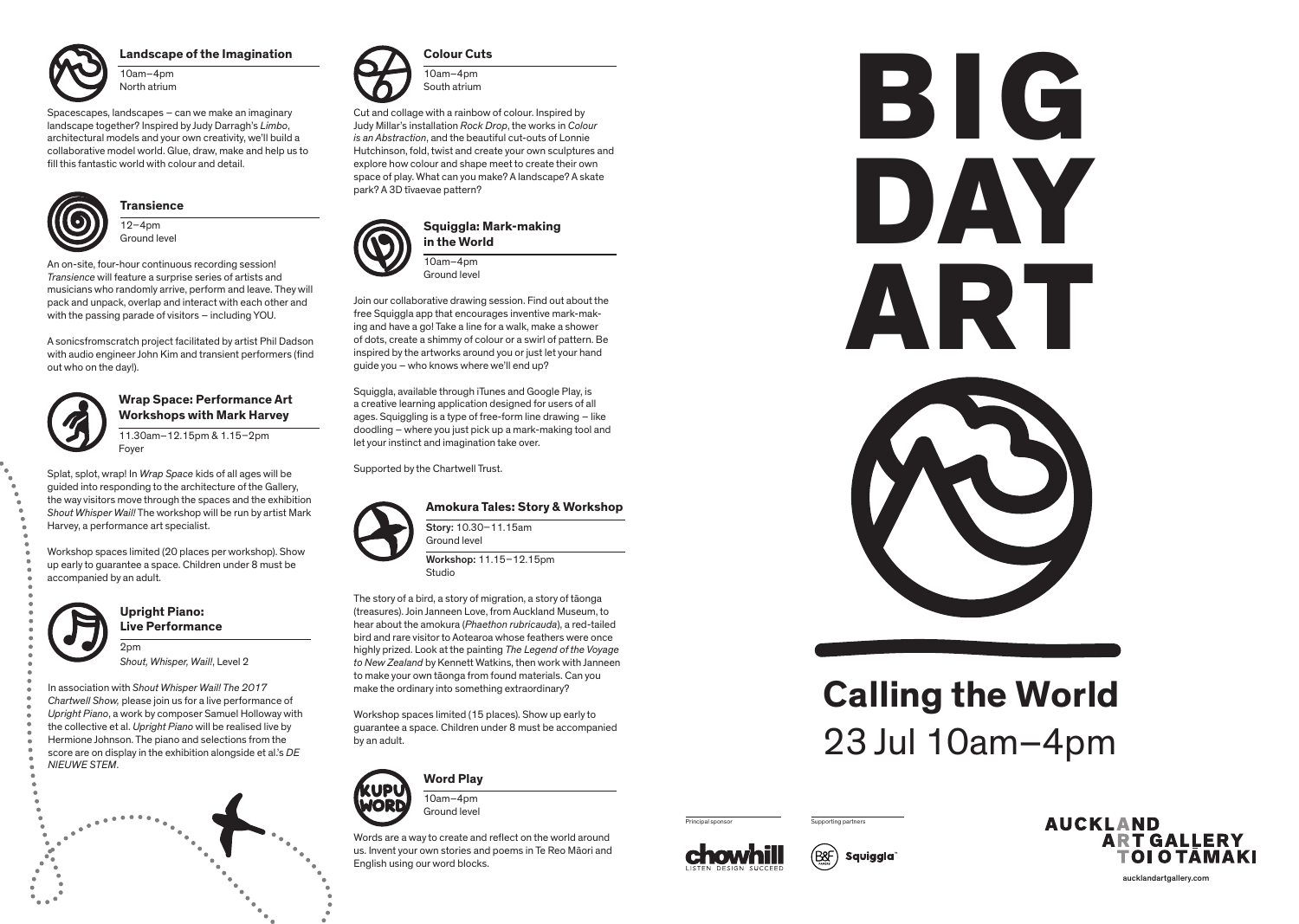aucklandartgallery.com

### **Upright Piano: Live Performance**

2pm *Shout, Whisper, Wail!*, Level 2

In association with *Shout Whisper Wail! The 2017 Chartwell Show,* please join us for a live performance of *Upright Piano*, a work by composer Samuel Holloway with the collective et al. *Upright Piano* will be realised live by Hermione Johnson. The piano and selections from the score are on display in the exhibition alongside et al.'s *DE NIEUWE STEM*.



### **Amokura Tales: Story & Workshop**

Story: 10.30–11.15am Ground level

Workshop: 11.15–12.15pm Studio

The story of a bird, a story of migration, a story of tāonga (treasures). Join Janneen Love, from Auckland Museum, to hear about the amokura (*Phaethon rubricauda*), a red-tailed bird and rare visitor to Aotearoa whose feathers were once highly prized. Look at the painting *The Legend of the Voyage to New Zealand* by Kennett Watkins, then work with Janneen to make your own tāonga from found materials. Can you make the ordinary into something extraordinary?

 $12 - 4$ pm Ground level

> Workshop spaces limited (15 places). Show up early to guarantee a space. Children under 8 must be accompanied by an adult.



# **Calling the World** 23 Jul 10am–4pm

Principal sponsor Supporting partners











#### **Landscape of the Imagination**

10am–4pm North atrium

Spacescapes, landscapes – can we make an imaginary landscape together? Inspired by Judy Darragh's *Limbo*, architectural models and your own creativity, we'll build a collaborative model world. Glue, draw, make and help us to fill this fantastic world with colour and detail.



**Colour Cuts**

10am–4pm South atrium

Cut and collage with a rainbow of colour. Inspired by Judy Millar's installation *Rock Drop*, the works in *Colour is an Abstraction*, and the beautiful cut-outs of Lonnie Hutchinson, fold, twist and create your own sculptures and explore how colour and shape meet to create their own space of play. What can you make? A landscape? A skate park? A 3D tīvaevae pattern?



**Transience**

An on-site, four-hour continuous recording session! *Transience* will feature a surprise series of artists and musicians who randomly arrive, perform and leave. They will pack and unpack, overlap and interact with each other and with the passing parade of visitors – including YOU.

A sonicsfromscratch project facilitated by artist Phil Dadson with audio engineer John Kim and transient performers (find out who on the day!).



**Word Play**

10am–4pm Ground level

Words are a way to create and reflect on the world around us. Invent your own stories and poems in Te Reo Māori and English using our word blocks.

### **Squiggla: Mark-making in the World**

10am–4pm Ground level

Join our collaborative drawing session. Find out about the free Squiggla app that encourages inventive mark-making and have a go! Take a line for a walk, make a shower of dots, create a shimmy of colour or a swirl of pattern. Be inspired by the artworks around you or just let your hand guide you – who knows where we'll end up?

Squiggla, available through iTunes and Google Play, is a creative learning application designed for users of all ages. Squiggling is a type of free-form line drawing – like doodling – where you just pick up a mark-making tool and let your instinct and imagination take over.

Supported by the Chartwell Trust.



### **Wrap Space: Performance Art Workshops with Mark Harvey**

11.30am–12.15pm & 1.15–2pm Foyer

Splat, splot, wrap! In *Wrap Space* kids of all ages will be guided into responding to the architecture of the Gallery, the way visitors move through the spaces and the exhibition *Shout Whisper Wail!* The workshop will be run by artist Mark Harvey, a performance art specialist.

Workshop spaces limited (20 places per workshop). Show up early to guarantee a space. Children under 8 must be accompanied by an adult.